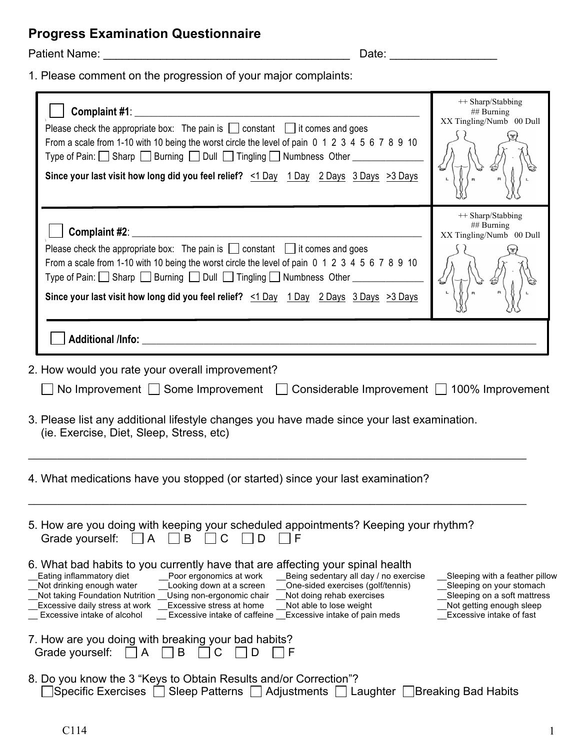## **Progress Examination Questionnaire**

Patient Name: \_\_\_\_\_\_\_\_\_\_\_\_\_\_\_\_\_\_\_\_\_\_\_\_\_\_\_\_\_\_\_\_\_\_\_\_\_\_\_ Date: \_\_\_\_\_\_\_\_\_\_\_\_\_\_\_\_\_

1. Please comment on the progression of your major complaints:

| Please check the appropriate box: The pain is $\Box$ constant $\Box$ it comes and goes<br>From a scale from 1-10 with 10 being the worst circle the level of pain 0 1 2 3 4 5 6 7 8 9 10<br>Type of Pain: □ Sharp □ Burning □ Dull □ Tingling □ Numbness Other _________<br>Since your last visit how long did you feel relief? <1 Day 1 Day 2 Days 3 Days >3 Days                                                                                                                                                                                                                                                                               | ++ Sharp/Stabbing<br>## Burning<br>XX Tingling/Numb 00 Dull                                                                                       |  |  |
|--------------------------------------------------------------------------------------------------------------------------------------------------------------------------------------------------------------------------------------------------------------------------------------------------------------------------------------------------------------------------------------------------------------------------------------------------------------------------------------------------------------------------------------------------------------------------------------------------------------------------------------------------|---------------------------------------------------------------------------------------------------------------------------------------------------|--|--|
| Please check the appropriate box: The pain is $\Box$ constant $\Box$ it comes and goes<br>From a scale from 1-10 with 10 being the worst circle the level of pain 0 1 2 3 4 5 6 7 8 9 10<br>Type of Pain: Sharp Burning Dull Tingling Numbness Other ________<br>Since your last visit how long did you feel relief? <1 Day 1 Day 2 Days 3 Days >3 Days                                                                                                                                                                                                                                                                                          | ++ Sharp/Stabbing<br>## Burning<br>XX Tingling/Numb 00 Dull                                                                                       |  |  |
|                                                                                                                                                                                                                                                                                                                                                                                                                                                                                                                                                                                                                                                  |                                                                                                                                                   |  |  |
| 2. How would you rate your overall improvement?<br>No Improvement Some Improvement Considerable Improvement 100% Improvement<br>3. Please list any additional lifestyle changes you have made since your last examination.<br>(ie. Exercise, Diet, Sleep, Stress, etc)<br>4. What medications have you stopped (or started) since your last examination?                                                                                                                                                                                                                                                                                         |                                                                                                                                                   |  |  |
| 5. How are you doing with keeping your scheduled appointments? Keeping your rhythm?<br>Grade yourself:<br>B<br>A<br>F                                                                                                                                                                                                                                                                                                                                                                                                                                                                                                                            |                                                                                                                                                   |  |  |
| 6. What bad habits to you currently have that are affecting your spinal health<br>Eating inflammatory diet<br>Being sedentary all day / no exercise<br>Poor ergonomics at work<br>Not drinking enough water<br>Looking down at a screen<br>One-sided exercises (golf/tennis)<br>Not taking Foundation Nutrition<br>Using non-ergonomic chair<br>Not doing rehab exercises<br>Excessive daily stress at work<br>Excessive stress at home<br>Not able to lose weight<br>Excessive intake of alcohol<br>Excessive intake of caffeine __Excessive intake of pain meds<br>7. How are you doing with breaking your bad habits?<br>Grade yourself:<br>B | Sleeping with a feather pillow<br>Sleeping on your stomach<br>Sleeping on a soft mattress<br>Not getting enough sleep<br>Excessive intake of fast |  |  |
| A<br>8. Do you know the 3 "Keys to Obtain Results and/or Correction"?<br>]Specific Exercises □ Sleep Patterns □ Adjustments □ Laughter □Breaking Bad Habits                                                                                                                                                                                                                                                                                                                                                                                                                                                                                      |                                                                                                                                                   |  |  |